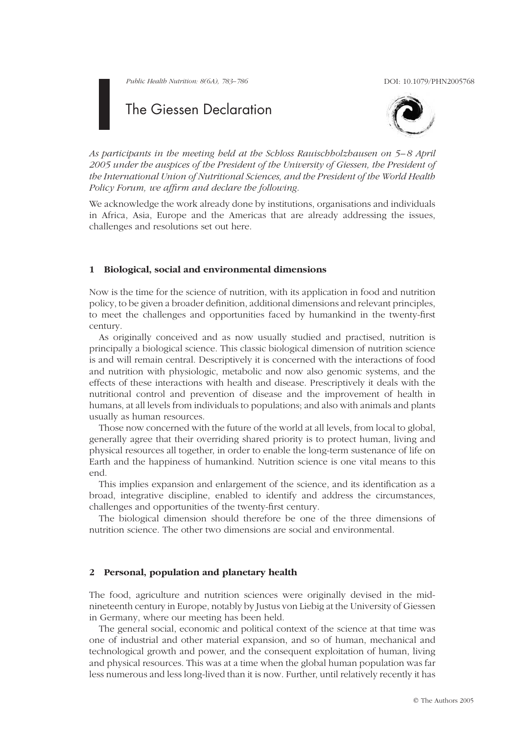Public Health Nutrition: 8(6A), 783–786 DOI: 10.1079/PHN2005768

# The Giessen Declaration



As participants in the meeting held at the Schloss Rauischholzhausen on 5–8 April 2005 under the auspices of the President of the University of Giessen, the President of the International Union of Nutritional Sciences, and the President of the World Health Policy Forum, we affirm and declare the following.

We acknowledge the work already done by institutions, organisations and individuals in Africa, Asia, Europe and the Americas that are already addressing the issues, challenges and resolutions set out here.

## 1 Biological, social and environmental dimensions

Now is the time for the science of nutrition, with its application in food and nutrition policy, to be given a broader definition, additional dimensions and relevant principles, to meet the challenges and opportunities faced by humankind in the twenty-first century.

As originally conceived and as now usually studied and practised, nutrition is principally a biological science. This classic biological dimension of nutrition science is and will remain central. Descriptively it is concerned with the interactions of food and nutrition with physiologic, metabolic and now also genomic systems, and the effects of these interactions with health and disease. Prescriptively it deals with the nutritional control and prevention of disease and the improvement of health in humans, at all levels from individuals to populations; and also with animals and plants usually as human resources.

Those now concerned with the future of the world at all levels, from local to global, generally agree that their overriding shared priority is to protect human, living and physical resources all together, in order to enable the long-term sustenance of life on Earth and the happiness of humankind. Nutrition science is one vital means to this end.

This implies expansion and enlargement of the science, and its identification as a broad, integrative discipline, enabled to identify and address the circumstances, challenges and opportunities of the twenty-first century.

The biological dimension should therefore be one of the three dimensions of nutrition science. The other two dimensions are social and environmental.

## 2 Personal, population and planetary health

The food, agriculture and nutrition sciences were originally devised in the midnineteenth century in Europe, notably by Justus von Liebig at the University of Giessen in Germany, where our meeting has been held.

The general social, economic and political context of the science at that time was one of industrial and other material expansion, and so of human, mechanical and technological growth and power, and the consequent exploitation of human, living and physical resources. This was at a time when the global human population was far less numerous and less long-lived than it is now. Further, until relatively recently it has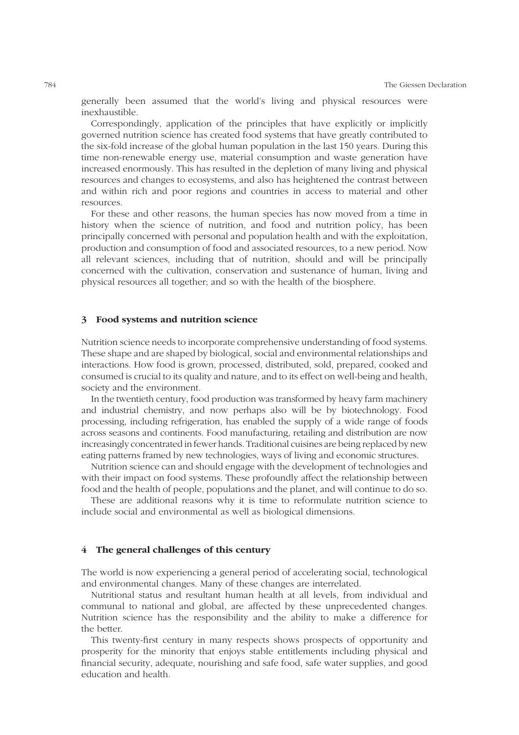generally been assumed that the world's living and physical resources were inexhaustible.

Correspondingly, application of the principles that have explicitly or implicitly governed nutrition science has created food systems that have greatly contributed to the six-fold increase of the global human population in the last 150 years. During this time non-renewable energy use, material consumption and waste generation have increased enormously. This has resulted in the depletion of many living and physical resources and changes to ecosystems, and also has heightened the contrast between and within rich and poor regions and countries in access to material and other resources.

For these and other reasons, the human species has now moved from a time in history when the science of nutrition, and food and nutrition policy, has been principally concerned with personal and population health and with the exploitation, production and consumption of food and associated resources, to a new period. Now all relevant sciences, including that of nutrition, should and will be principally concerned with the cultivation, conservation and sustenance of human, living and physical resources all together; and so with the health of the biosphere.

## 3 Food systems and nutrition science

Nutrition science needs to incorporate comprehensive understanding of food systems. These shape and are shaped by biological, social and environmental relationships and interactions. How food is grown, processed, distributed, sold, prepared, cooked and consumed is crucial to its quality and nature, and to its effect on well-being and health, society and the environment.

In the twentieth century, food production was transformed by heavy farm machinery and industrial chemistry, and now perhaps also will be by biotechnology. Food processing, including refrigeration, has enabled the supply of a wide range of foods across seasons and continents. Food manufacturing, retailing and distribution are now increasingly concentrated in fewer hands. Traditional cuisines are being replaced by new eating patterns framed by new technologies, ways of living and economic structures.

Nutrition science can and should engage with the development of technologies and with their impact on food systems. These profoundly affect the relationship between food and the health of people, populations and the planet, and will continue to do so.

These are additional reasons why it is time to reformulate nutrition science to include social and environmental as well as biological dimensions.

## 4 The general challenges of this century

The world is now experiencing a general period of accelerating social, technological and environmental changes. Many of these changes are interrelated.

Nutritional status and resultant human health at all levels, from individual and communal to national and global, are affected by these unprecedented changes. Nutrition science has the responsibility and the ability to make a difference for the better.

This twenty-first century in many respects shows prospects of opportunity and prosperity for the minority that enjoys stable entitlements including physical and financial security, adequate, nourishing and safe food, safe water supplies, and good education and health.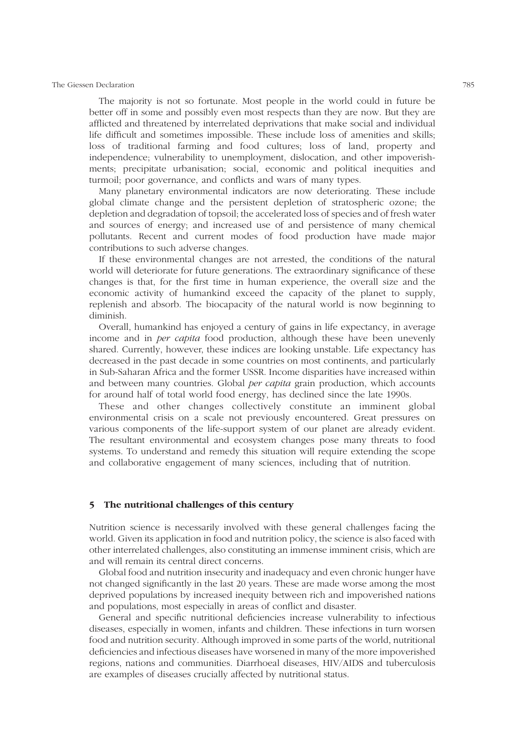#### The Giessen Declaration 785

The majority is not so fortunate. Most people in the world could in future be better off in some and possibly even most respects than they are now. But they are afflicted and threatened by interrelated deprivations that make social and individual life difficult and sometimes impossible. These include loss of amenities and skills; loss of traditional farming and food cultures; loss of land, property and independence; vulnerability to unemployment, dislocation, and other impoverishments; precipitate urbanisation; social, economic and political inequities and turmoil; poor governance, and conflicts and wars of many types.

Many planetary environmental indicators are now deteriorating. These include global climate change and the persistent depletion of stratospheric ozone; the depletion and degradation of topsoil; the accelerated loss of species and of fresh water and sources of energy; and increased use of and persistence of many chemical pollutants. Recent and current modes of food production have made major contributions to such adverse changes.

If these environmental changes are not arrested, the conditions of the natural world will deteriorate for future generations. The extraordinary significance of these changes is that, for the first time in human experience, the overall size and the economic activity of humankind exceed the capacity of the planet to supply, replenish and absorb. The biocapacity of the natural world is now beginning to diminish.

Overall, humankind has enjoyed a century of gains in life expectancy, in average income and in per capita food production, although these have been unevenly shared. Currently, however, these indices are looking unstable. Life expectancy has decreased in the past decade in some countries on most continents, and particularly in Sub-Saharan Africa and the former USSR. Income disparities have increased within and between many countries. Global per capita grain production, which accounts for around half of total world food energy, has declined since the late 1990s.

These and other changes collectively constitute an imminent global environmental crisis on a scale not previously encountered. Great pressures on various components of the life-support system of our planet are already evident. The resultant environmental and ecosystem changes pose many threats to food systems. To understand and remedy this situation will require extending the scope and collaborative engagement of many sciences, including that of nutrition.

## 5 The nutritional challenges of this century

Nutrition science is necessarily involved with these general challenges facing the world. Given its application in food and nutrition policy, the science is also faced with other interrelated challenges, also constituting an immense imminent crisis, which are and will remain its central direct concerns.

Global food and nutrition insecurity and inadequacy and even chronic hunger have not changed significantly in the last 20 years. These are made worse among the most deprived populations by increased inequity between rich and impoverished nations and populations, most especially in areas of conflict and disaster.

General and specific nutritional deficiencies increase vulnerability to infectious diseases, especially in women, infants and children. These infections in turn worsen food and nutrition security. Although improved in some parts of the world, nutritional deficiencies and infectious diseases have worsened in many of the more impoverished regions, nations and communities. Diarrhoeal diseases, HIV/AIDS and tuberculosis are examples of diseases crucially affected by nutritional status.